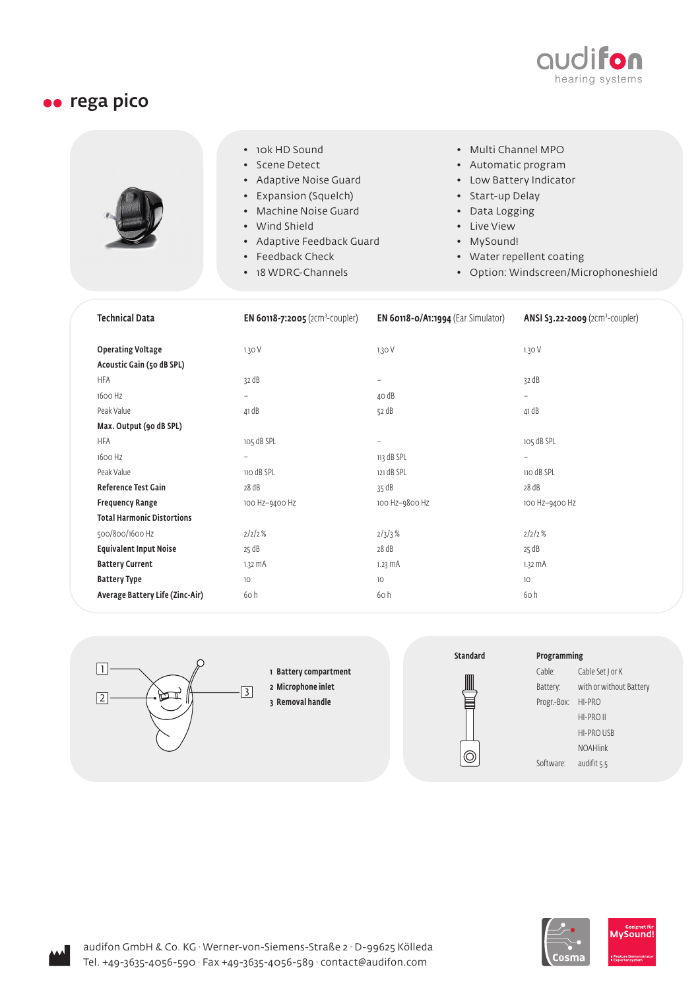

## **ee** rega pico

|  | • 10k HD Sound<br>• Scene Detect<br>• Adaptive Noise Guard<br>• Expansion (Squelch)<br>• Machine Noise Guard<br>• Wind Shield<br>• Adaptive Feedback Guard<br>• Feedback Check<br>• 18 WDRC-Channels | • Multi Channel MPO<br>• Automatic program<br>• Low Battery Indicator<br>• Start-up Delay<br>• Data Logging<br>• Live View<br>• MySound!<br>• Water repellent coating<br>• Option: Windscreen/Microphoneshield |
|--|------------------------------------------------------------------------------------------------------------------------------------------------------------------------------------------------------|----------------------------------------------------------------------------------------------------------------------------------------------------------------------------------------------------------------|
|--|------------------------------------------------------------------------------------------------------------------------------------------------------------------------------------------------------|----------------------------------------------------------------------------------------------------------------------------------------------------------------------------------------------------------------|

| <b>Technical Data</b>             | <b>EN 60118-7:2005</b> (2Cm <sup>3</sup> -COUpler) | <b>EN 60118-0/A1:1994</b> (Ear Simulator) | ANSI S3.22-2009 ( $2cm3$ -coupler) |
|-----------------------------------|----------------------------------------------------|-------------------------------------------|------------------------------------|
| <b>Operating Voltage</b>          | 1.30V                                              | 1.30V                                     | 1.30 V                             |
| Acoustic Gain (50 dB SPL)         |                                                    |                                           |                                    |
| <b>HFA</b>                        | 32 dB                                              | $\overline{\phantom{a}}$                  | 32 dB                              |
| 1600 Hz                           | $\overline{\phantom{0}}$                           | 40 dB                                     | $\overline{\phantom{0}}$           |
| Peak Value                        | 41 dB                                              | 52 dB                                     | 41 dB                              |
| Max. Output (90 dB SPL)           |                                                    |                                           |                                    |
| HFA                               | 105 dB SPL                                         | $\overline{\phantom{0}}$                  | 105 dB SPL                         |
| 1600 Hz                           | $\overline{\phantom{0}}$                           | 113 dB SPL                                | $\overline{\phantom{m}}$           |
| Peak Value                        | 110 dB SPL                                         | 121 dB SPL                                | 110 dB SPL                         |
| Reference Test Gain               | 28 dB                                              | 35 dB                                     | 28 dB                              |
| <b>Frequency Range</b>            | 100 Hz-9400 Hz                                     | 100 Hz-9800 Hz                            | 100 Hz-9400 Hz                     |
| <b>Total Harmonic Distortions</b> |                                                    |                                           |                                    |
| 500/800/1600 Hz                   | 2/2/2%                                             | 2/3/3%                                    | 2/2/2%                             |
| <b>Equivalent Input Noise</b>     | 25 dB                                              | 28 dB                                     | 25 dB                              |
| <b>Battery Current</b>            | $1.32 \text{ mA}$                                  | 1.23 MA                                   | $1.32 \text{ mA}$                  |
| <b>Battery Type</b>               | 10 <sup>°</sup>                                    | 10                                        | 10 <sup>°</sup>                    |
| Average Battery Life (Zinc-Air)   | 60h                                                | 60 h                                      | 60h                                |



1 Battery compartment

2 Microphone inlet



| Programming |                         |  |
|-------------|-------------------------|--|
| Cable:      | Cable Set J or K        |  |
| Battery:    | with or without Battery |  |
| Progr.-Box: | HI-PRO                  |  |
|             | $HI-PRO$ II             |  |
|             | <b>HI-PRO USB</b>       |  |
|             | <b>NOAHlink</b>         |  |
| Software:   | audifit 5.5             |  |